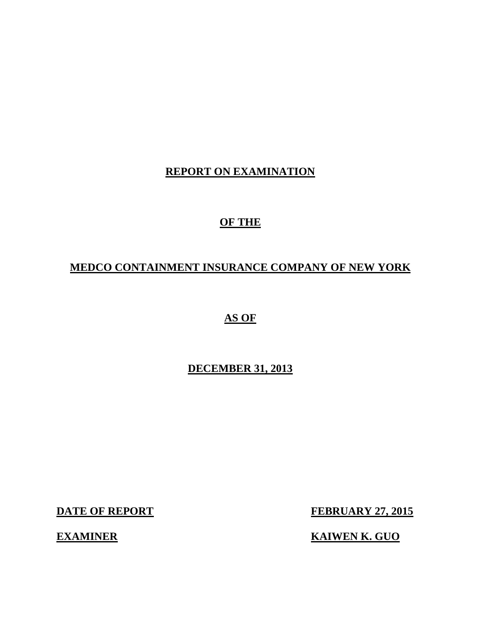# **REPORT ON EXAMINATION**

# **OF THE**

# **MEDCO CONTAINMENT INSURANCE COMPANY OF NEW YORK**

**AS OF** 

# **DECEMBER 31, 2013**

**DATE OF REPORT FEBRUARY 27, 2015** 

**EXAMINER** KAIWEN K. GUO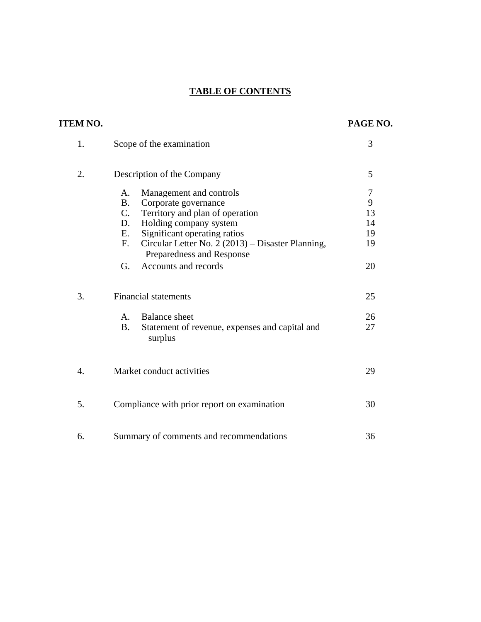## **TABLE OF CONTENTS**

| <u>ITEM NO.</u> |                                                                                                                                                                                                                                                                                    | PAGE NO.                       |
|-----------------|------------------------------------------------------------------------------------------------------------------------------------------------------------------------------------------------------------------------------------------------------------------------------------|--------------------------------|
| 1.              | Scope of the examination                                                                                                                                                                                                                                                           | 3                              |
| 2.              | Description of the Company                                                                                                                                                                                                                                                         | 5                              |
|                 | Management and controls<br>A.<br><b>B.</b><br>Corporate governance<br>$C_{\cdot}$<br>Territory and plan of operation<br>Holding company system<br>D.<br>Significant operating ratios<br>Ε.<br>Circular Letter No. 2 (2013) – Disaster Planning,<br>F.<br>Preparedness and Response | 7<br>9<br>13<br>14<br>19<br>19 |
|                 | G.<br>Accounts and records                                                                                                                                                                                                                                                         | 20                             |
| 3.              | <b>Financial statements</b>                                                                                                                                                                                                                                                        | 25                             |
|                 | <b>Balance</b> sheet<br>$A_{\cdot}$<br>Statement of revenue, expenses and capital and<br><b>B.</b><br>surplus                                                                                                                                                                      | 26<br>27                       |
| 4.              | Market conduct activities                                                                                                                                                                                                                                                          | 29                             |
| 5.              | Compliance with prior report on examination                                                                                                                                                                                                                                        | 30                             |
| 6.              | Summary of comments and recommendations                                                                                                                                                                                                                                            | 36                             |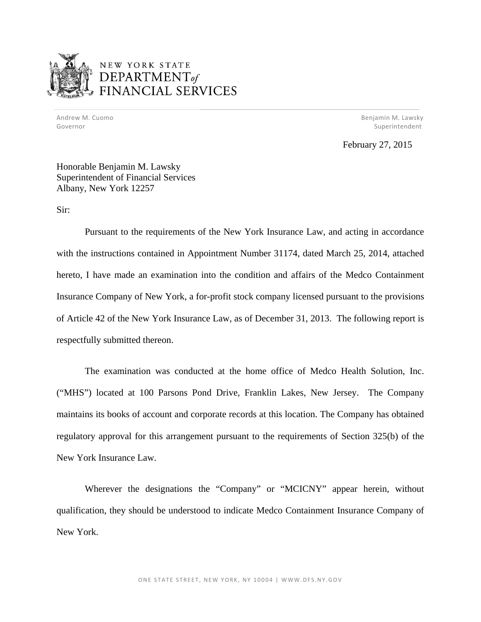

# NEW YORK STATE DEPARTMENT<sub>of</sub> **SCIAL SERVICES**

 Andrew M. Cuomo Benjamin M. Lawsky Governor Superintendent and Superintendent Superintendent Superintendent Superintendent Superintendent Superintendent

February 27, 2015

Honorable Benjamin M. Lawsky Superintendent of Financial Services Albany, New York 12257

Sir:

Pursuant to the requirements of the New York Insurance Law, and acting in accordance with the instructions contained in Appointment Number 31174, dated March 25, 2014, attached hereto, I have made an examination into the condition and affairs of the Medco Containment Insurance Company of New York, a for-profit stock company licensed pursuant to the provisions of Article 42 of the New York Insurance Law, as of December 31, 2013. The following report is respectfully submitted thereon.

The examination was conducted at the home office of Medco Health Solution, Inc. ("MHS") located at 100 Parsons Pond Drive, Franklin Lakes, New Jersey. The Company maintains its books of account and corporate records at this location. The Company has obtained regulatory approval for this arrangement pursuant to the requirements of Section 325(b) of the New York Insurance Law.

Wherever the designations the "Company" or "MCICNY" appear herein, without qualification, they should be understood to indicate Medco Containment Insurance Company of New York.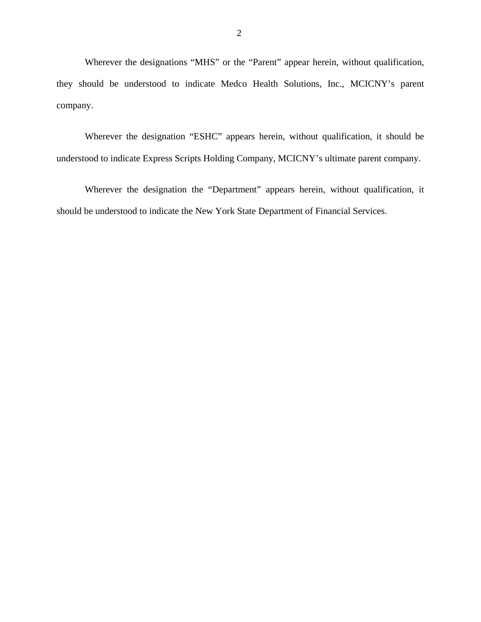Wherever the designations "MHS" or the "Parent" appear herein, without qualification, they should be understood to indicate Medco Health Solutions, Inc., MCICNY's parent company.

Wherever the designation "ESHC" appears herein, without qualification, it should be understood to indicate Express Scripts Holding Company, MCICNY's ultimate parent company.

Wherever the designation the "Department" appears herein, without qualification, it should be understood to indicate the New York State Department of Financial Services.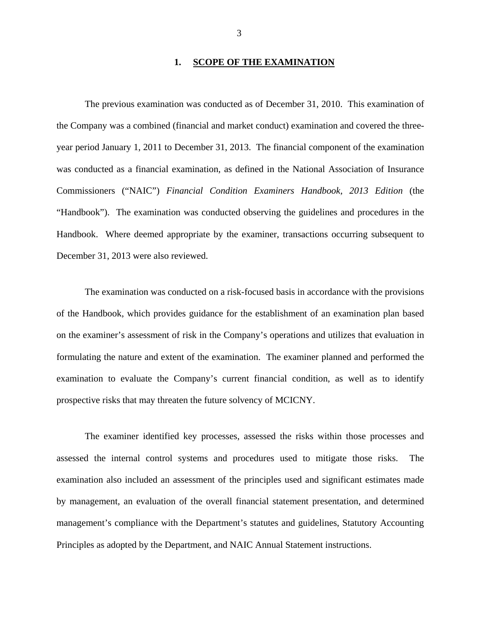## 1. SCOPE OF THE EXAMINATION

The previous examination was conducted as of December 31, 2010. This examination of the Company was a combined (financial and market conduct) examination and covered the threeyear period January 1, 2011 to December 31, 2013. The financial component of the examination was conducted as a financial examination, as defined in the National Association of Insurance Commissioners ("NAIC") *Financial Condition Examiners Handbook, 2013 Edition* (the "Handbook"). The examination was conducted observing the guidelines and procedures in the Handbook. Where deemed appropriate by the examiner, transactions occurring subsequent to December 31, 2013 were also reviewed.

The examination was conducted on a risk-focused basis in accordance with the provisions of the Handbook, which provides guidance for the establishment of an examination plan based on the examiner's assessment of risk in the Company's operations and utilizes that evaluation in formulating the nature and extent of the examination. The examiner planned and performed the examination to evaluate the Company's current financial condition, as well as to identify prospective risks that may threaten the future solvency of MCICNY.

The examiner identified key processes, assessed the risks within those processes and assessed the internal control systems and procedures used to mitigate those risks. The examination also included an assessment of the principles used and significant estimates made by management, an evaluation of the overall financial statement presentation, and determined management's compliance with the Department's statutes and guidelines, Statutory Accounting Principles as adopted by the Department, and NAIC Annual Statement instructions.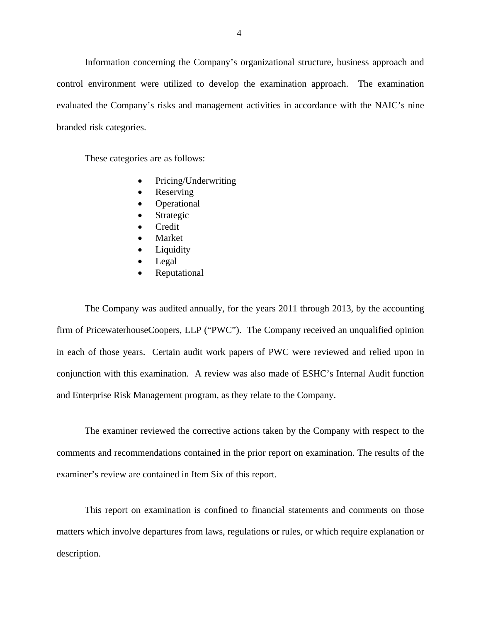Information concerning the Company's organizational structure, business approach and control environment were utilized to develop the examination approach. The examination evaluated the Company's risks and management activities in accordance with the NAIC's nine branded risk categories.

These categories are as follows:

- Pricing/Underwriting
- Reserving
- Operational
- Strategic
- Credit
- Market
- Liquidity
- Legal
- Reputational

The Company was audited annually, for the years 2011 through 2013, by the accounting firm of PricewaterhouseCoopers, LLP ("PWC"). The Company received an unqualified opinion in each of those years. Certain audit work papers of PWC were reviewed and relied upon in conjunction with this examination. A review was also made of ESHC's Internal Audit function and Enterprise Risk Management program, as they relate to the Company.

The examiner reviewed the corrective actions taken by the Company with respect to the comments and recommendations contained in the prior report on examination. The results of the examiner's review are contained in Item Six of this report.

This report on examination is confined to financial statements and comments on those matters which involve departures from laws, regulations or rules, or which require explanation or description.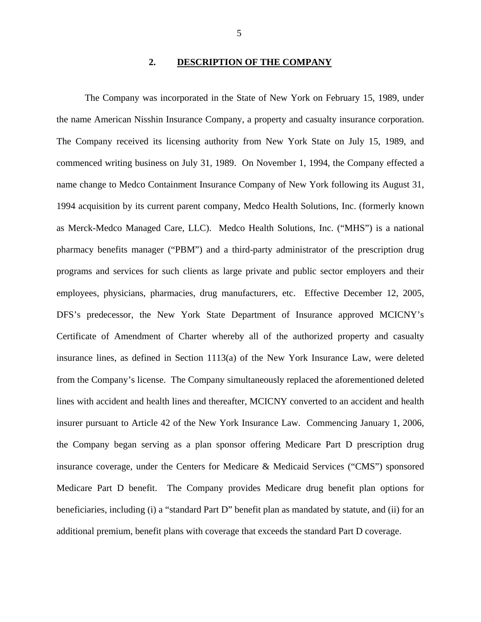## **2. DESCRIPTION OF THE COMPANY**

<span id="page-6-0"></span>The Company was incorporated in the State of New York on February 15, 1989, under the name American Nisshin Insurance Company, a property and casualty insurance corporation. The Company received its licensing authority from New York State on July 15, 1989, and commenced writing business on July 31, 1989. On November 1, 1994, the Company effected a name change to Medco Containment Insurance Company of New York following its August 31, 1994 acquisition by its current parent company, Medco Health Solutions, Inc. (formerly known as Merck-Medco Managed Care, LLC). Medco Health Solutions, Inc. ("MHS") is a national pharmacy benefits manager ("PBM") and a third-party administrator of the prescription drug programs and services for such clients as large private and public sector employers and their employees, physicians, pharmacies, drug manufacturers, etc. Effective December 12, 2005, DFS's predecessor, the New York State Department of Insurance approved MCICNY's Certificate of Amendment of Charter whereby all of the authorized property and casualty insurance lines, as defined in Section 1113(a) of the New York Insurance Law, were deleted from the Company's license. The Company simultaneously replaced the aforementioned deleted lines with accident and health lines and thereafter, MCICNY converted to an accident and health insurer pursuant to Article 42 of the New York Insurance Law. Commencing January 1, 2006, the Company began serving as a plan sponsor offering Medicare Part D prescription drug insurance coverage, under the Centers for Medicare & Medicaid Services ("CMS") sponsored Medicare Part D benefit. The Company provides Medicare drug benefit plan options for beneficiaries, including (i) a "standard Part D" benefit plan as mandated by statute, and (ii) for an additional premium, benefit plans with coverage that exceeds the standard Part D coverage.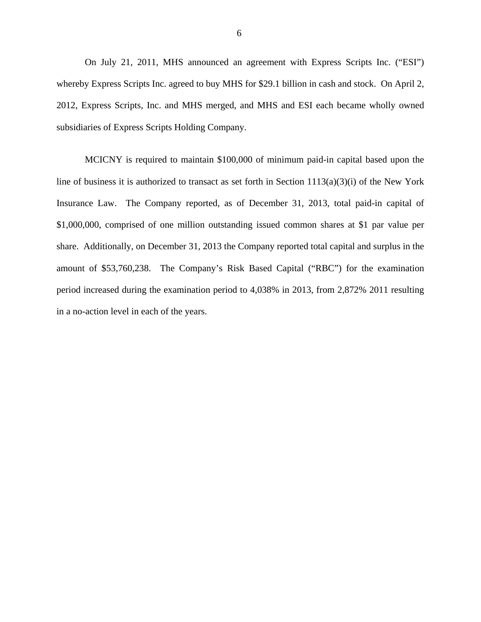subsidiaries of Express Scripts Holding Company. On July 21, 2011, MHS announced an agreement with Express Scripts Inc. ("ESI") whereby Express Scripts Inc. agreed to buy MHS for \$29.1 billion in cash and stock. On April 2, 2012, Express Scripts, Inc. and MHS merged, and MHS and ESI each became wholly owned

MCICNY is required to maintain \$100,000 of minimum paid-in capital based upon the line of business it is authorized to transact as set forth in Section 1113(a)(3)(i) of the New York Insurance Law. The Company reported, as of December 31, 2013, total paid-in capital of \$1,000,000, comprised of one million outstanding issued common shares at \$1 par value per share. Additionally, on December 31, 2013 the Company reported total capital and surplus in the amount of \$53,760,238. The Company's Risk Based Capital ("RBC") for the examination period increased during the examination period to 4,038% in 2013, from 2,872% 2011 resulting in a no-action level in each of the years.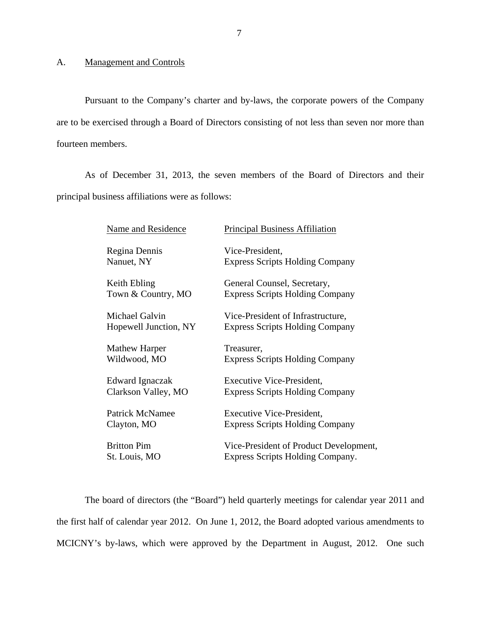<span id="page-8-0"></span>Pursuant to the Company's charter and by-laws, the corporate powers of the Company are to be exercised through a Board of Directors consisting of not less than seven nor more than fourteen members.

As of December 31, 2013, the seven members of the Board of Directors and their principal business affiliations were as follows:

| Name and Residence    | <b>Principal Business Affiliation</b>  |
|-----------------------|----------------------------------------|
| Regina Dennis         | Vice-President,                        |
| Nanuet, NY            | <b>Express Scripts Holding Company</b> |
| Keith Ebling          | General Counsel, Secretary,            |
| Town & Country, MO    | <b>Express Scripts Holding Company</b> |
| Michael Galvin        | Vice-President of Infrastructure,      |
| Hopewell Junction, NY | <b>Express Scripts Holding Company</b> |
| Mathew Harper         | Treasurer,                             |
| Wildwood, MO          | <b>Express Scripts Holding Company</b> |
| Edward Ignaczak       | <b>Executive Vice-President,</b>       |
| Clarkson Valley, MO   | <b>Express Scripts Holding Company</b> |
| Patrick McNamee       | <b>Executive Vice-President,</b>       |
| Clayton, MO           | <b>Express Scripts Holding Company</b> |
| <b>Britton Pim</b>    | Vice-President of Product Development, |
| St. Louis, MO         | Express Scripts Holding Company.       |

The board of directors (the "Board") held quarterly meetings for calendar year 2011 and the first half of calendar year 2012. On June 1, 2012, the Board adopted various amendments to MCICNY's by-laws, which were approved by the Department in August, 2012. One such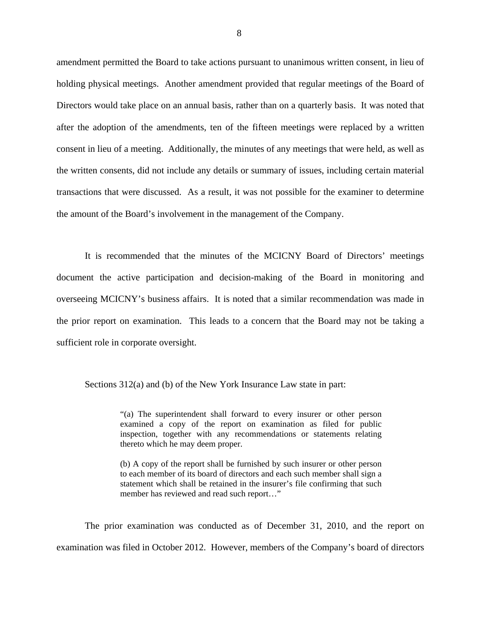amendment permitted the Board to take actions pursuant to unanimous written consent, in lieu of holding physical meetings. Another amendment provided that regular meetings of the Board of Directors would take place on an annual basis, rather than on a quarterly basis. It was noted that after the adoption of the amendments, ten of the fifteen meetings were replaced by a written consent in lieu of a meeting. Additionally, the minutes of any meetings that were held, as well as the written consents, did not include any details or summary of issues, including certain material transactions that were discussed. As a result, it was not possible for the examiner to determine the amount of the Board's involvement in the management of the Company.

It is recommended that the minutes of the MCICNY Board of Directors' meetings document the active participation and decision-making of the Board in monitoring and overseeing MCICNY's business affairs. It is noted that a similar recommendation was made in the prior report on examination. This leads to a concern that the Board may not be taking a sufficient role in corporate oversight.

Sections 312(a) and (b) of the New York Insurance Law state in part:

"(a) The superintendent shall forward to every insurer or other person examined a copy of the report on examination as filed for public inspection, together with any recommendations or statements relating thereto which he may deem proper.

(b) A copy of the report shall be furnished by such insurer or other person to each member of its board of directors and each such member shall sign a statement which shall be retained in the insurer's file confirming that such member has reviewed and read such report…"

The prior examination was conducted as of December 31, 2010, and the report on examination was filed in October 2012. However, members of the Company's board of directors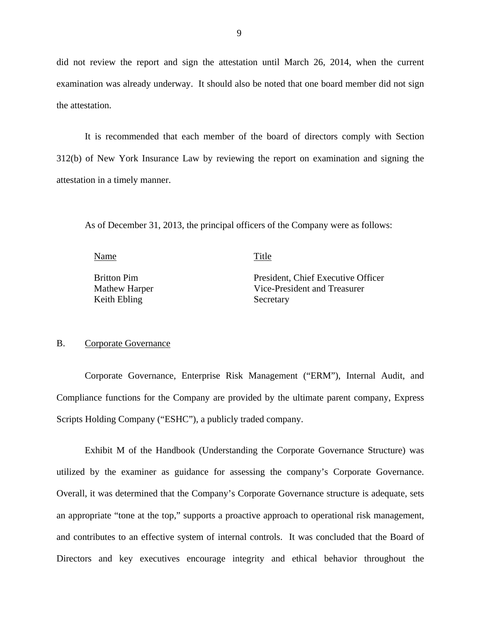<span id="page-10-0"></span>did not review the report and sign the attestation until March 26, 2014, when the current examination was already underway. It should also be noted that one board member did not sign the attestation.

It is recommended that each member of the board of directors comply with Section 312(b) of New York Insurance Law by reviewing the report on examination and signing the attestation in a timely manner.

As of December 31, 2013, the principal officers of the Company were as follows:

Name Title

Keith Ebling Secretary

Britton Pim President, Chief Executive Officer Mathew Harper Vice-President and Treasurer

## B. Corporate Governance

Corporate Governance, Enterprise Risk Management ("ERM"), Internal Audit, and Compliance functions for the Company are provided by the ultimate parent company, Express Scripts Holding Company ("ESHC"), a publicly traded company.

Exhibit M of the Handbook (Understanding the Corporate Governance Structure) was utilized by the examiner as guidance for assessing the company's Corporate Governance. Overall, it was determined that the Company's Corporate Governance structure is adequate, sets an appropriate "tone at the top," supports a proactive approach to operational risk management, and contributes to an effective system of internal controls. It was concluded that the Board of Directors and key executives encourage integrity and ethical behavior throughout the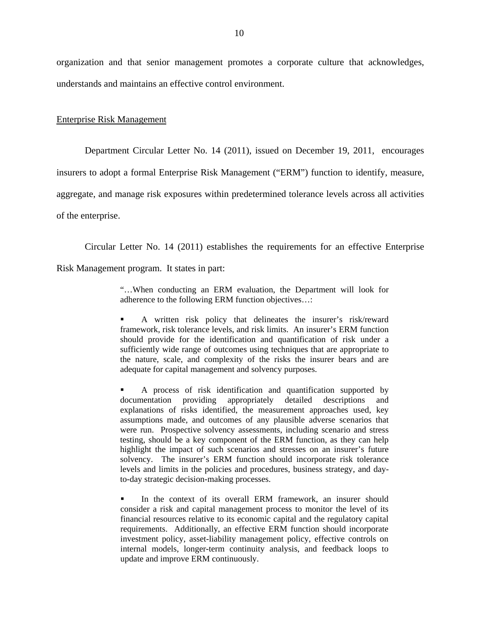organization and that senior management promotes a corporate culture that acknowledges, understands and maintains an effective control environment.

### Enterprise Risk Management

Department Circular Letter No. 14 (2011), issued on December 19, 2011, encourages

insurers to adopt a formal Enterprise Risk Management ("ERM") function to identify, measure,

aggregate, and manage risk exposures within predetermined tolerance levels across all activities

of the enterprise.

Circular Letter No. 14 (2011) establishes the requirements for an effective Enterprise

Risk Management program. It states in part:

"…When conducting an ERM evaluation, the Department will look for adherence to the following ERM function objectives…:

 adequate for capital management and solvency purposes. A written risk policy that delineates the insurer's risk/reward framework, risk tolerance levels, and risk limits. An insurer's ERM function should provide for the identification and quantification of risk under a sufficiently wide range of outcomes using techniques that are appropriate to the nature, scale, and complexity of the risks the insurer bears and are

 A process of risk identification and quantification supported by documentation providing appropriately detailed descriptions and explanations of risks identified, the measurement approaches used, key assumptions made, and outcomes of any plausible adverse scenarios that were run. Prospective solvency assessments, including scenario and stress testing, should be a key component of the ERM function, as they can help highlight the impact of such scenarios and stresses on an insurer's future solvency. The insurer's ERM function should incorporate risk tolerance levels and limits in the policies and procedures, business strategy, and dayto-day strategic decision-making processes.

 In the context of its overall ERM framework, an insurer should consider a risk and capital management process to monitor the level of its financial resources relative to its economic capital and the regulatory capital requirements. Additionally, an effective ERM function should incorporate investment policy, asset-liability management policy, effective controls on internal models, longer-term continuity analysis, and feedback loops to update and improve ERM continuously.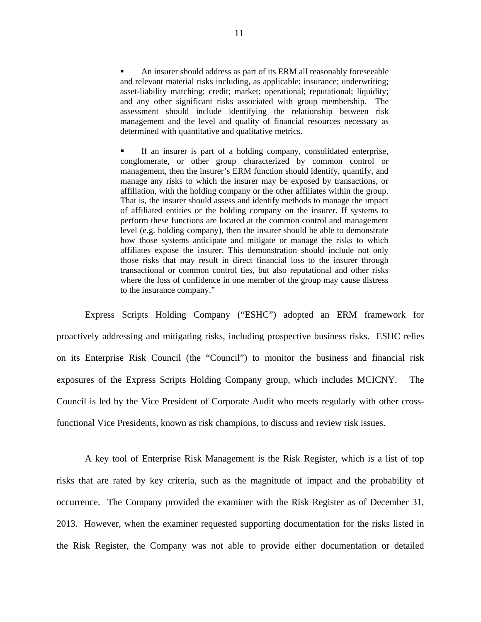An insurer should address as part of its ERM all reasonably foreseeable and relevant material risks including, as applicable: insurance; underwriting; asset-liability matching; credit; market; operational; reputational; liquidity; and any other significant risks associated with group membership. The assessment should include identifying the relationship between risk management and the level and quality of financial resources necessary as determined with quantitative and qualitative metrics.

 If an insurer is part of a holding company, consolidated enterprise, conglomerate, or other group characterized by common control or management, then the insurer's ERM function should identify, quantify, and manage any risks to which the insurer may be exposed by transactions, or affiliation, with the holding company or the other affiliates within the group. That is, the insurer should assess and identify methods to manage the impact of affiliated entities or the holding company on the insurer. If systems to perform these functions are located at the common control and management level (e.g. holding company), then the insurer should be able to demonstrate how those systems anticipate and mitigate or manage the risks to which affiliates expose the insurer. This demonstration should include not only those risks that may result in direct financial loss to the insurer through transactional or common control ties, but also reputational and other risks where the loss of confidence in one member of the group may cause distress to the insurance company."

Express Scripts Holding Company ("ESHC") adopted an ERM framework for proactively addressing and mitigating risks, including prospective business risks. ESHC relies on its Enterprise Risk Council (the "Council") to monitor the business and financial risk exposures of the Express Scripts Holding Company group, which includes MCICNY. The Council is led by the Vice President of Corporate Audit who meets regularly with other crossfunctional Vice Presidents, known as risk champions, to discuss and review risk issues.

A key tool of Enterprise Risk Management is the Risk Register, which is a list of top risks that are rated by key criteria, such as the magnitude of impact and the probability of occurrence. The Company provided the examiner with the Risk Register as of December 31, 2013. However, when the examiner requested supporting documentation for the risks listed in the Risk Register, the Company was not able to provide either documentation or detailed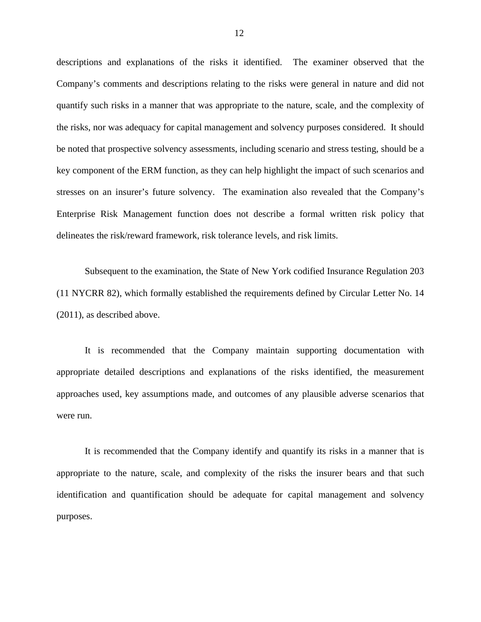descriptions and explanations of the risks it identified. The examiner observed that the Company's comments and descriptions relating to the risks were general in nature and did not quantify such risks in a manner that was appropriate to the nature, scale, and the complexity of the risks, nor was adequacy for capital management and solvency purposes considered. It should be noted that prospective solvency assessments, including scenario and stress testing, should be a key component of the ERM function, as they can help highlight the impact of such scenarios and stresses on an insurer's future solvency. The examination also revealed that the Company's Enterprise Risk Management function does not describe a formal written risk policy that delineates the risk/reward framework, risk tolerance levels, and risk limits.

Subsequent to the examination, the State of New York codified Insurance Regulation 203 (11 NYCRR 82), which formally established the requirements defined by Circular Letter No. 14 (2011), as described above.

It is recommended that the Company maintain supporting documentation with appropriate detailed descriptions and explanations of the risks identified, the measurement approaches used, key assumptions made, and outcomes of any plausible adverse scenarios that were run.

It is recommended that the Company identify and quantify its risks in a manner that is appropriate to the nature, scale, and complexity of the risks the insurer bears and that such identification and quantification should be adequate for capital management and solvency purposes.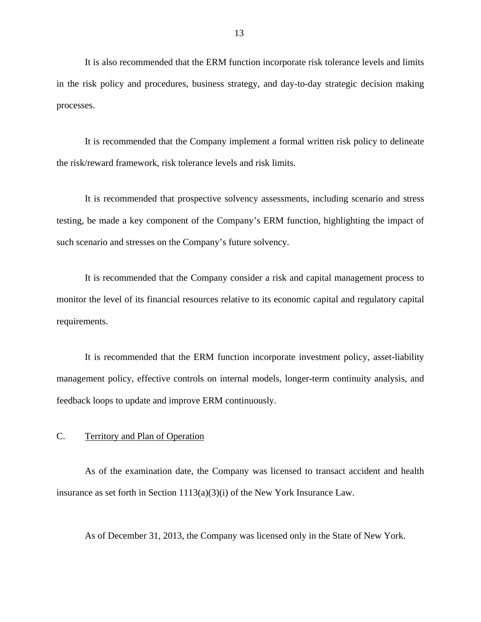<span id="page-14-0"></span>It is also recommended that the ERM function incorporate risk tolerance levels and limits in the risk policy and procedures, business strategy, and day-to-day strategic decision making processes.

It is recommended that the Company implement a formal written risk policy to delineate the risk/reward framework, risk tolerance levels and risk limits.

It is recommended that prospective solvency assessments, including scenario and stress testing, be made a key component of the Company's ERM function, highlighting the impact of such scenario and stresses on the Company's future solvency.

It is recommended that the Company consider a risk and capital management process to monitor the level of its financial resources relative to its economic capital and regulatory capital requirements.

It is recommended that the ERM function incorporate investment policy, asset-liability management policy, effective controls on internal models, longer-term continuity analysis, and feedback loops to update and improve ERM continuously.

## C. Territory and Plan of Operation

As of the examination date, the Company was licensed to transact accident and health insurance as set forth in Section 1113(a)(3)(i) of the New York Insurance Law.

As of December 31, 2013, the Company was licensed only in the State of New York.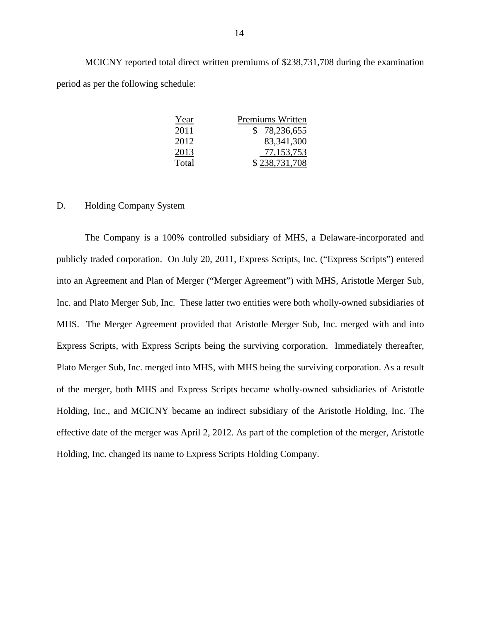MCICNY reported total direct written premiums of \$238,731,708 during the examination period as per the following schedule:

| Year  | Premiums Written |
|-------|------------------|
| 2011  | \$78,236,655     |
| 2012  | 83, 341, 300     |
| 2013  | 77,153,753       |
| Total | \$238,731,708    |

## D. Holding Company System

The Company is a 100% controlled subsidiary of MHS, a Delaware-incorporated and publicly traded corporation. On July 20, 2011, Express Scripts, Inc. ("Express Scripts") entered into an Agreement and Plan of Merger ("Merger Agreement") with MHS, Aristotle Merger Sub, Inc. and Plato Merger Sub, Inc. These latter two entities were both wholly-owned subsidiaries of MHS. The Merger Agreement provided that Aristotle Merger Sub, Inc. merged with and into Express Scripts, with Express Scripts being the surviving corporation. Immediately thereafter, Plato Merger Sub, Inc. merged into MHS, with MHS being the surviving corporation. As a result of the merger, both MHS and Express Scripts became wholly-owned subsidiaries of Aristotle Holding, Inc., and MCICNY became an indirect subsidiary of the Aristotle Holding, Inc. The effective date of the merger was April 2, 2012. As part of the completion of the merger, Aristotle Holding, Inc. changed its name to Express Scripts Holding Company.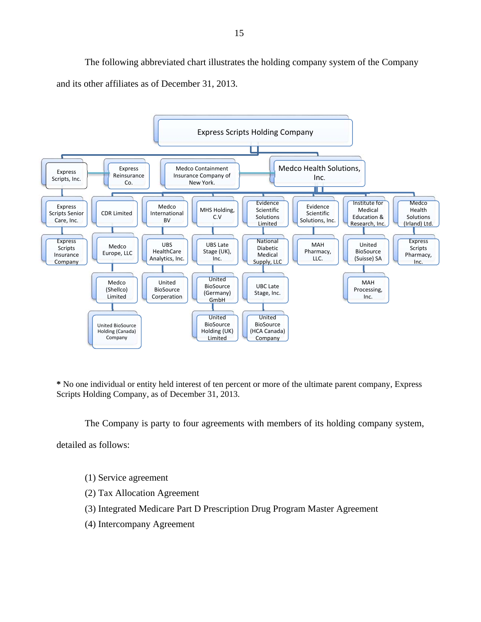The following abbreviated chart illustrates the holding company system of the Company and its other affiliates as of December 31, 2013.



**\*** No one individual or entity held interest of ten percent or more of the ultimate parent company, Express Scripts Holding Company, as of December 31, 2013.

The Company is party to four agreements with members of its holding company system,

detailed as follows:

- (1) Service agreement
- (2) Tax Allocation Agreement
- (3) Integrated Medicare Part D Prescription Drug Program Master Agreement
- (4) Intercompany Agreement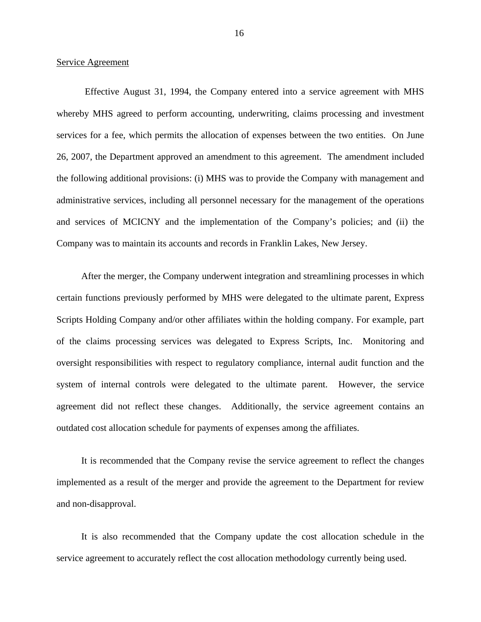### Service Agreement

Effective August 31, 1994, the Company entered into a service agreement with MHS whereby MHS agreed to perform accounting, underwriting, claims processing and investment services for a fee, which permits the allocation of expenses between the two entities. On June 26, 2007, the Department approved an amendment to this agreement. The amendment included the following additional provisions: (i) MHS was to provide the Company with management and administrative services, including all personnel necessary for the management of the operations and services of MCICNY and the implementation of the Company's policies; and (ii) the Company was to maintain its accounts and records in Franklin Lakes, New Jersey.

After the merger, the Company underwent integration and streamlining processes in which certain functions previously performed by MHS were delegated to the ultimate parent, Express Scripts Holding Company and/or other affiliates within the holding company. For example, part of the claims processing services was delegated to Express Scripts, Inc. Monitoring and oversight responsibilities with respect to regulatory compliance, internal audit function and the system of internal controls were delegated to the ultimate parent. However, the service agreement did not reflect these changes. Additionally, the service agreement contains an outdated cost allocation schedule for payments of expenses among the affiliates.

It is recommended that the Company revise the service agreement to reflect the changes implemented as a result of the merger and provide the agreement to the Department for review and non-disapproval.

It is also recommended that the Company update the cost allocation schedule in the service agreement to accurately reflect the cost allocation methodology currently being used.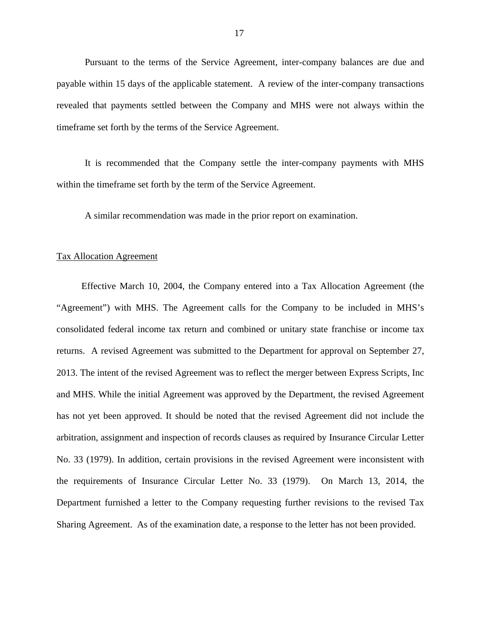Pursuant to the terms of the Service Agreement, inter-company balances are due and payable within 15 days of the applicable statement. A review of the inter-company transactions revealed that payments settled between the Company and MHS were not always within the timeframe set forth by the terms of the Service Agreement.

It is recommended that the Company settle the inter-company payments with MHS within the timeframe set forth by the term of the Service Agreement.

A similar recommendation was made in the prior report on examination.

### Tax Allocation Agreement

Effective March 10, 2004, the Company entered into a Tax Allocation Agreement (the "Agreement") with MHS. The Agreement calls for the Company to be included in MHS's consolidated federal income tax return and combined or unitary state franchise or income tax returns. A revised Agreement was submitted to the Department for approval on September 27, 2013. The intent of the revised Agreement was to reflect the merger between Express Scripts, Inc and MHS. While the initial Agreement was approved by the Department, the revised Agreement has not yet been approved. It should be noted that the revised Agreement did not include the arbitration, assignment and inspection of records clauses as required by Insurance Circular Letter No. 33 (1979). In addition, certain provisions in the revised Agreement were inconsistent with the requirements of Insurance Circular Letter No. 33 (1979). On March 13, 2014, the Department furnished a letter to the Company requesting further revisions to the revised Tax Sharing Agreement. As of the examination date, a response to the letter has not been provided.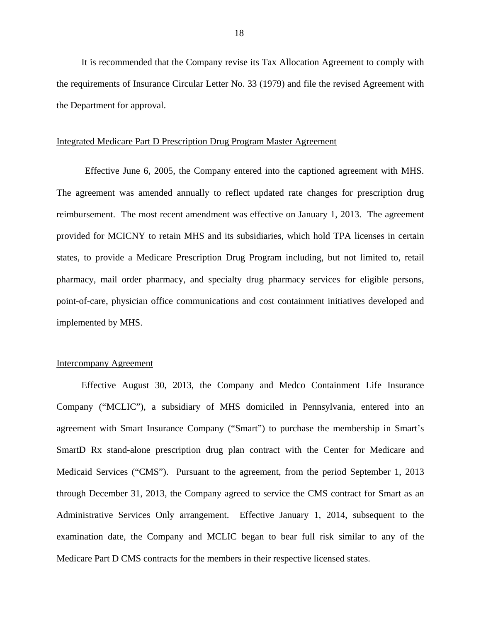It is recommended that the Company revise its Tax Allocation Agreement to comply with the requirements of Insurance Circular Letter No. 33 (1979) and file the revised Agreement with the Department for approval.

### Integrated Medicare Part D Prescription Drug Program Master Agreement

Effective June 6, 2005, the Company entered into the captioned agreement with MHS. The agreement was amended annually to reflect updated rate changes for prescription drug reimbursement. The most recent amendment was effective on January 1, 2013. The agreement provided for MCICNY to retain MHS and its subsidiaries, which hold TPA licenses in certain states, to provide a Medicare Prescription Drug Program including, but not limited to, retail pharmacy, mail order pharmacy, and specialty drug pharmacy services for eligible persons, point-of-care, physician office communications and cost containment initiatives developed and implemented by MHS.

## Intercompany Agreement

Effective August 30, 2013, the Company and Medco Containment Life Insurance Company ("MCLIC"), a subsidiary of MHS domiciled in Pennsylvania, entered into an agreement with Smart Insurance Company ("Smart") to purchase the membership in Smart's SmartD Rx stand-alone prescription drug plan contract with the Center for Medicare and Medicaid Services ("CMS"). Pursuant to the agreement, from the period September 1, 2013 through December 31, 2013, the Company agreed to service the CMS contract for Smart as an Administrative Services Only arrangement. Effective January 1, 2014, subsequent to the examination date, the Company and MCLIC began to bear full risk similar to any of the Medicare Part D CMS contracts for the members in their respective licensed states.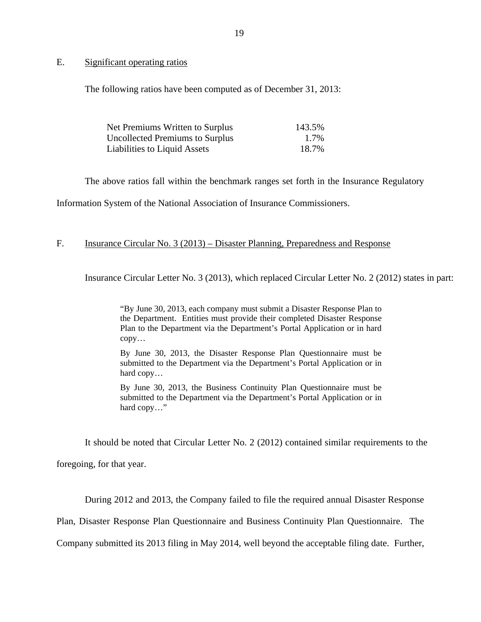<span id="page-20-0"></span>E. Significant operating ratios

The following ratios have been computed as of December 31, 2013:

| Net Premiums Written to Surplus        | 143.5% |
|----------------------------------------|--------|
| <b>Uncollected Premiums to Surplus</b> | 1.7%   |
| Liabilities to Liquid Assets           | 18.7%  |

The above ratios fall within the benchmark ranges set forth in the Insurance Regulatory

Information System of the National Association of Insurance Commissioners.

## F. Insurance Circular No. 3 (2013) – Disaster Planning, Preparedness and Response

Insurance Circular Letter No. 3 (2013), which replaced Circular Letter No. 2 (2012) states in part:

"By June 30, 2013, each company must submit a Disaster Response Plan to the Department. Entities must provide their completed Disaster Response Plan to the Department via the Department's Portal Application or in hard copy…

By June 30, 2013, the Disaster Response Plan Questionnaire must be submitted to the Department via the Department's Portal Application or in hard copy…

By June 30, 2013, the Business Continuity Plan Questionnaire must be submitted to the Department via the Department's Portal Application or in hard copy…"

It should be noted that Circular Letter No. 2 (2012) contained similar requirements to the

foregoing, for that year.

During 2012 and 2013, the Company failed to file the required annual Disaster Response

Plan, Disaster Response Plan Questionnaire and Business Continuity Plan Questionnaire. The

Company submitted its 2013 filing in May 2014, well beyond the acceptable filing date. Further,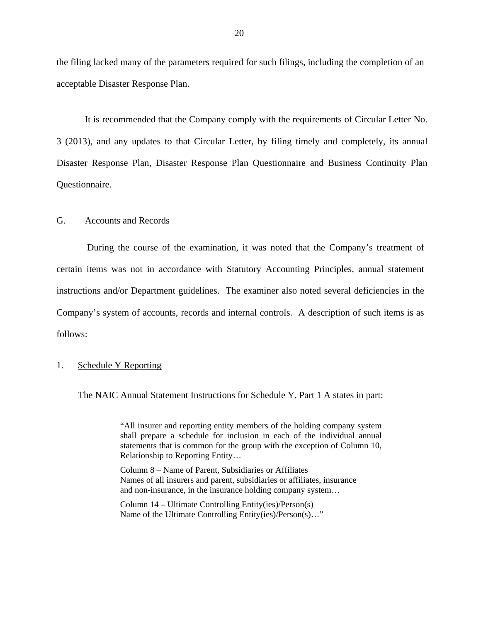<span id="page-21-0"></span>the filing lacked many of the parameters required for such filings, including the completion of an acceptable Disaster Response Plan.

It is recommended that the Company comply with the requirements of Circular Letter No. 3 (2013), and any updates to that Circular Letter, by filing timely and completely, its annual Disaster Response Plan, Disaster Response Plan Questionnaire and Business Continuity Plan Questionnaire.

## G. Accounts and Records

During the course of the examination, it was noted that the Company's treatment of certain items was not in accordance with Statutory Accounting Principles, annual statement instructions and/or Department guidelines. The examiner also noted several deficiencies in the Company's system of accounts, records and internal controls. A description of such items is as follows:

## 1. Schedule Y Reporting

The NAIC Annual Statement Instructions for Schedule Y, Part 1 A states in part:

 "All insurer and reporting entity members of the holding company system shall prepare a schedule for inclusion in each of the individual annual statements that is common for the group with the exception of Column 10, Relationship to Reporting Entity…

Column 8 – Name of Parent, Subsidiaries or Affiliates Names of all insurers and parent, subsidiaries or affiliates, insurance and non-insurance, in the insurance holding company system…

Column 14 – Ultimate Controlling Entity(ies)/Person(s) Name of the Ultimate Controlling Entity(ies)/Person(s)…"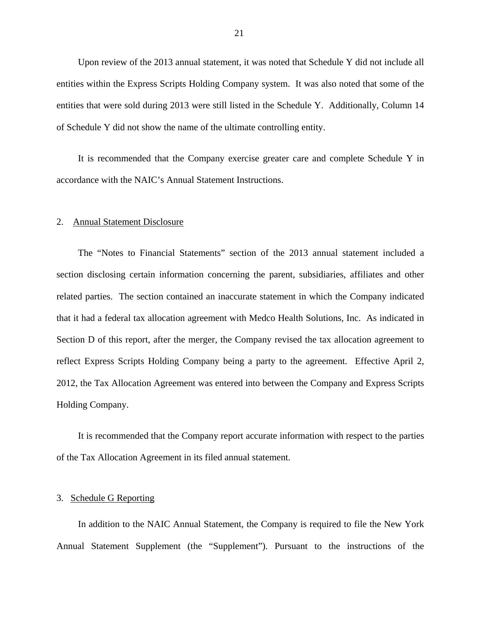Upon review of the 2013 annual statement, it was noted that Schedule Y did not include all entities within the Express Scripts Holding Company system. It was also noted that some of the entities that were sold during 2013 were still listed in the Schedule Y. Additionally, Column 14 of Schedule Y did not show the name of the ultimate controlling entity.

It is recommended that the Company exercise greater care and complete Schedule Y in accordance with the NAIC's Annual Statement Instructions.

### 2. Annual Statement Disclosure

The "Notes to Financial Statements" section of the 2013 annual statement included a section disclosing certain information concerning the parent, subsidiaries, affiliates and other related parties. The section contained an inaccurate statement in which the Company indicated that it had a federal tax allocation agreement with Medco Health Solutions, Inc. As indicated in Section D of this report, after the merger, the Company revised the tax allocation agreement to reflect Express Scripts Holding Company being a party to the agreement. Effective April 2, 2012, the Tax Allocation Agreement was entered into between the Company and Express Scripts Holding Company.

It is recommended that the Company report accurate information with respect to the parties of the Tax Allocation Agreement in its filed annual statement.

## 3. Schedule G Reporting

In addition to the NAIC Annual Statement, the Company is required to file the New York Annual Statement Supplement (the "Supplement"). Pursuant to the instructions of the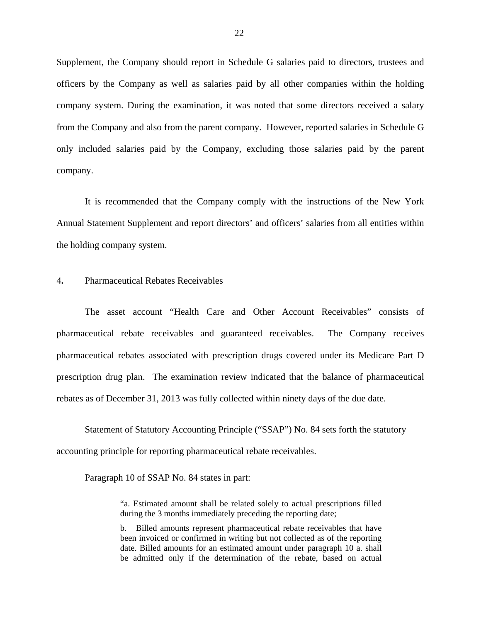Supplement, the Company should report in Schedule G salaries paid to directors, trustees and officers by the Company as well as salaries paid by all other companies within the holding company system. During the examination, it was noted that some directors received a salary from the Company and also from the parent company. However, reported salaries in Schedule G only included salaries paid by the Company, excluding those salaries paid by the parent company.

It is recommended that the Company comply with the instructions of the New York Annual Statement Supplement and report directors' and officers' salaries from all entities within the holding company system.

## 4**.** Pharmaceutical Rebates Receivables

The asset account "Health Care and Other Account Receivables" consists of pharmaceutical rebate receivables and guaranteed receivables. The Company receives pharmaceutical rebates associated with prescription drugs covered under its Medicare Part D prescription drug plan. The examination review indicated that the balance of pharmaceutical rebates as of December 31, 2013 was fully collected within ninety days of the due date.

Statement of Statutory Accounting Principle ("SSAP") No. 84 sets forth the statutory accounting principle for reporting pharmaceutical rebate receivables.

Paragraph 10 of SSAP No. 84 states in part:

"a. Estimated amount shall be related solely to actual prescriptions filled during the 3 months immediately preceding the reporting date;

b. Billed amounts represent pharmaceutical rebate receivables that have been invoiced or confirmed in writing but not collected as of the reporting date. Billed amounts for an estimated amount under paragraph 10 a. shall be admitted only if the determination of the rebate, based on actual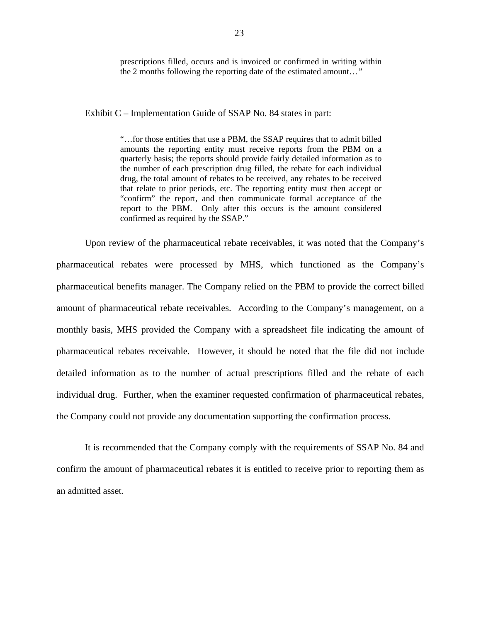prescriptions filled, occurs and is invoiced or confirmed in writing within the 2 months following the reporting date of the estimated amount…*"* 

Exhibit C – Implementation Guide of SSAP No. 84 states in part:

"…for those entities that use a PBM, the SSAP requires that to admit billed amounts the reporting entity must receive reports from the PBM on a quarterly basis; the reports should provide fairly detailed information as to the number of each prescription drug filled, the rebate for each individual drug, the total amount of rebates to be received, any rebates to be received that relate to prior periods, etc. The reporting entity must then accept or "confirm" the report, and then communicate formal acceptance of the report to the PBM. Only after this occurs is the amount considered confirmed as required by the SSAP."

 pharmaceutical rebates receivable. However, it should be noted that the file did not include Upon review of the pharmaceutical rebate receivables, it was noted that the Company's pharmaceutical rebates were processed by MHS, which functioned as the Company's pharmaceutical benefits manager. The Company relied on the PBM to provide the correct billed amount of pharmaceutical rebate receivables. According to the Company's management, on a monthly basis, MHS provided the Company with a spreadsheet file indicating the amount of detailed information as to the number of actual prescriptions filled and the rebate of each individual drug. Further, when the examiner requested confirmation of pharmaceutical rebates, the Company could not provide any documentation supporting the confirmation process.

It is recommended that the Company comply with the requirements of SSAP No. 84 and confirm the amount of pharmaceutical rebates it is entitled to receive prior to reporting them as an admitted asset.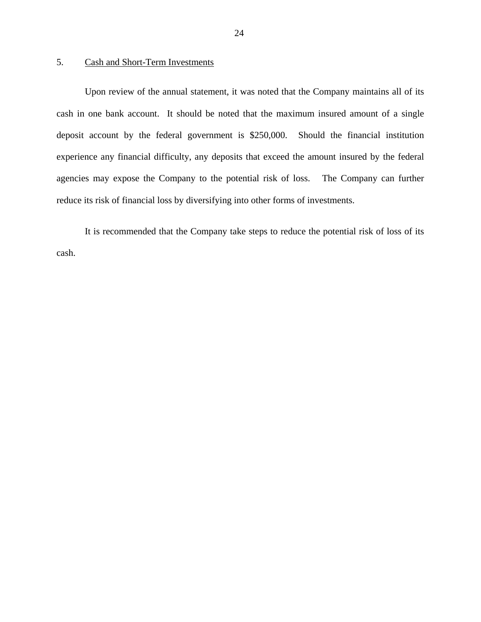## 5. Cash and Short-Term Investments

Upon review of the annual statement, it was noted that the Company maintains all of its cash in one bank account. It should be noted that the maximum insured amount of a single deposit account by the federal government is \$250,000. Should the financial institution experience any financial difficulty, any deposits that exceed the amount insured by the federal agencies may expose the Company to the potential risk of loss. The Company can further reduce its risk of financial loss by diversifying into other forms of investments.

It is recommended that the Company take steps to reduce the potential risk of loss of its cash.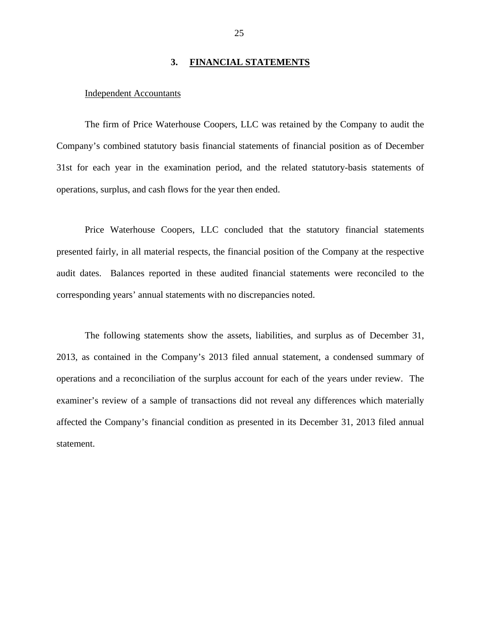## **3. FINANCIAL STATEMENTS**

### <span id="page-26-0"></span>Independent Accountants

The firm of Price Waterhouse Coopers, LLC was retained by the Company to audit the Company's combined statutory basis financial statements of financial position as of December 31st for each year in the examination period, and the related statutory-basis statements of operations, surplus, and cash flows for the year then ended.

Price Waterhouse Coopers, LLC concluded that the statutory financial statements presented fairly, in all material respects, the financial position of the Company at the respective audit dates. Balances reported in these audited financial statements were reconciled to the corresponding years' annual statements with no discrepancies noted.

The following statements show the assets, liabilities, and surplus as of December 31, 2013, as contained in the Company's 2013 filed annual statement, a condensed summary of operations and a reconciliation of the surplus account for each of the years under review. The examiner's review of a sample of transactions did not reveal any differences which materially affected the Company's financial condition as presented in its December 31, 2013 filed annual statement.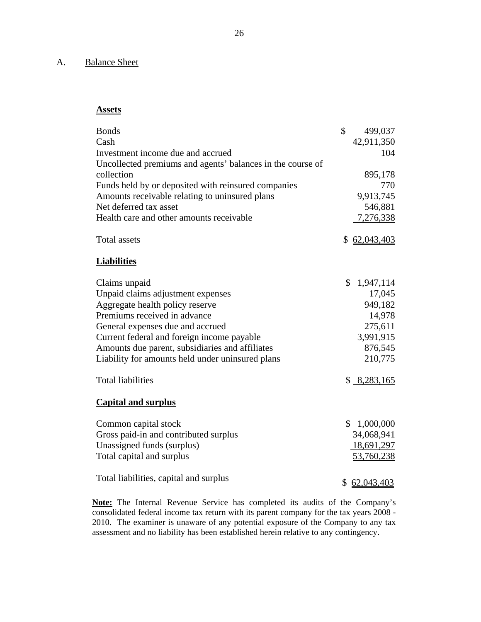## <span id="page-27-0"></span>A. Balance Sheet

## **Assets**

| <b>Bonds</b><br>Cash<br>Investment income due and accrued<br>Uncollected premiums and agents' balances in the course of<br>collection<br>Funds held by or deposited with reinsured companies<br>Amounts receivable relating to uninsured plans<br>Net deferred tax asset<br>Health care and other amounts receivable                       | $\mathcal{S}$ | 499,037<br>42,911,350<br>104<br>895,178<br>770<br>9,913,745<br>546,881<br>7,276,338                   |
|--------------------------------------------------------------------------------------------------------------------------------------------------------------------------------------------------------------------------------------------------------------------------------------------------------------------------------------------|---------------|-------------------------------------------------------------------------------------------------------|
| <b>Total assets</b>                                                                                                                                                                                                                                                                                                                        |               | \$62,043,403                                                                                          |
| <b>Liabilities</b>                                                                                                                                                                                                                                                                                                                         |               |                                                                                                       |
| Claims unpaid<br>Unpaid claims adjustment expenses<br>Aggregate health policy reserve<br>Premiums received in advance<br>General expenses due and accrued<br>Current federal and foreign income payable<br>Amounts due parent, subsidiaries and affiliates<br>Liability for amounts held under uninsured plans<br><b>Total liabilities</b> | \$            | 1,947,114<br>17,045<br>949,182<br>14,978<br>275,611<br>3,991,915<br>876,545<br>210,775<br>\$8,283,165 |
| <b>Capital and surplus</b>                                                                                                                                                                                                                                                                                                                 |               |                                                                                                       |
| Common capital stock<br>Gross paid-in and contributed surplus<br>Unassigned funds (surplus)<br>Total capital and surplus<br>Total liabilities, capital and surplus                                                                                                                                                                         |               | \$1,000,000<br>34,068,941<br>18,691,297<br>53,760,238<br>\$62,043,403                                 |

**Note:** The Internal Revenue Service has completed its audits of the Company's consolidated federal income tax return with its parent company for the tax years 2008 - 2010. The examiner is unaware of any potential exposure of the Company to any tax assessment and no liability has been established herein relative to any contingency.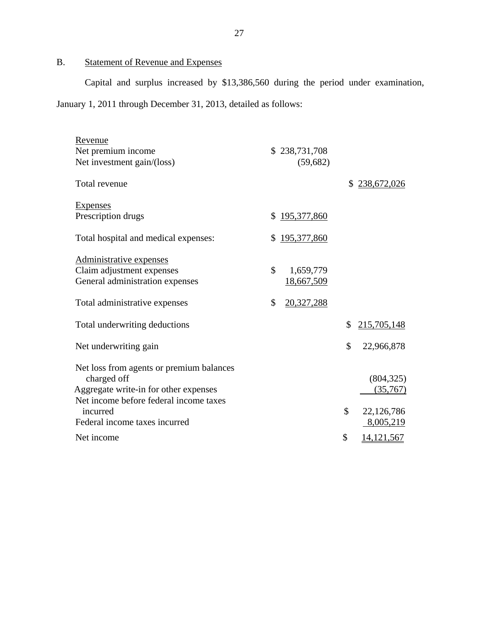# B. Statement of Revenue and Expenses

Capital and surplus increased by \$13,386,560 during the period under examination, January 1, 2011 through December 31, 2013, detailed as follows:

| Revenue                                  |                   |                    |
|------------------------------------------|-------------------|--------------------|
| Net premium income                       | \$238,731,708     |                    |
| Net investment gain/(loss)               | (59, 682)         |                    |
| Total revenue                            |                   | \$<br>238,672,026  |
| <b>Expenses</b>                          |                   |                    |
| Prescription drugs                       | \$195,377,860     |                    |
| Total hospital and medical expenses:     | \$<br>195,377,860 |                    |
| Administrative expenses                  |                   |                    |
| Claim adjustment expenses                | \$<br>1,659,779   |                    |
| General administration expenses          | 18,667,509        |                    |
|                                          |                   |                    |
| Total administrative expenses            | \$<br>20,327,288  |                    |
| Total underwriting deductions            |                   | \$<br>215,705,148  |
| Net underwriting gain                    |                   | \$<br>22,966,878   |
| Net loss from agents or premium balances |                   |                    |
| charged off                              |                   | (804, 325)         |
| Aggregate write-in for other expenses    |                   | (35,767)           |
| Net income before federal income taxes   |                   |                    |
| incurred                                 |                   | \$<br>22,126,786   |
| Federal income taxes incurred            |                   | 8,005,219          |
| Net income                               |                   | \$<br>14, 121, 567 |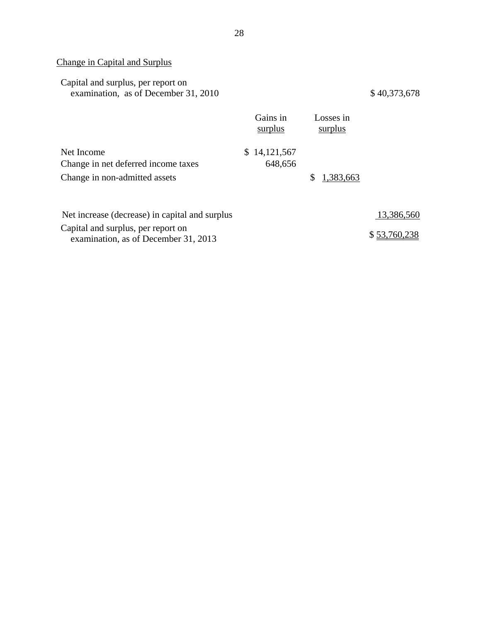# Change in Capital and Surplus

| Capital and surplus, per report on<br>examination, as of December 31, 2010 |                         |                      | \$40,373,678 |
|----------------------------------------------------------------------------|-------------------------|----------------------|--------------|
|                                                                            | Gains in<br>surplus     | Losses in<br>surplus |              |
| Net Income<br>Change in net deferred income taxes                          | \$14,121,567<br>648,656 |                      |              |

Change in non-admitted assets

| Net increase (decrease) in capital and surplus                             | 13,386,560   |
|----------------------------------------------------------------------------|--------------|
| Capital and surplus, per report on<br>examination, as of December 31, 2013 | \$53,760,238 |

\$ 1,383,663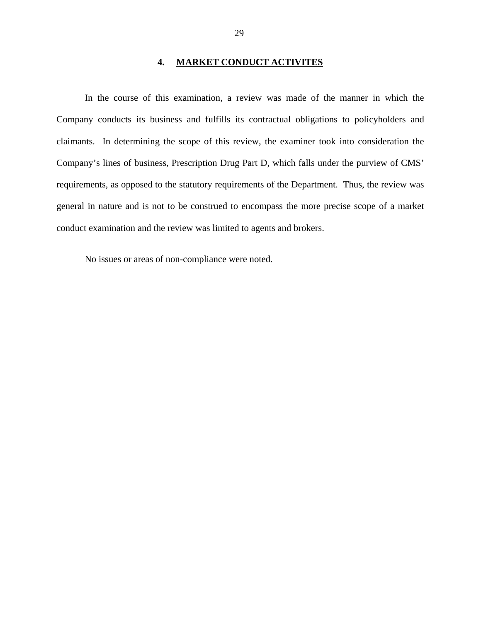## **4. MARKET CONDUCT ACTIVITES**

<span id="page-30-0"></span>In the course of this examination, a review was made of the manner in which the Company conducts its business and fulfills its contractual obligations to policyholders and claimants. In determining the scope of this review, the examiner took into consideration the Company's lines of business, Prescription Drug Part D, which falls under the purview of CMS' requirements, as opposed to the statutory requirements of the Department. Thus, the review was general in nature and is not to be construed to encompass the more precise scope of a market conduct examination and the review was limited to agents and brokers.

No issues or areas of non-compliance were noted.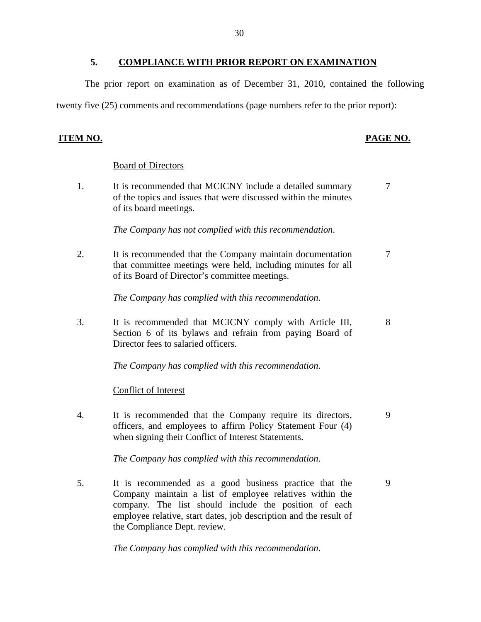<span id="page-31-0"></span>The prior report on examination as of December 31, 2010, contained the following twenty five (25) comments and recommendations (page numbers refer to the prior report):

## **ITEM NO. PAGE NO.**

## Board of Directors

1. It is recommended that MCICNY include a detailed summary  $\frac{7}{7}$ of the topics and issues that were discussed within the minutes of its board meetings.

*The Company has not complied with this recommendation*.

2. It is recommended that the Company maintain documentation  $\frac{7}{3}$ that committee meetings were held, including minutes for all of its Board of Director's committee meetings.

*The Company has complied with this recommendation*.

3. It is recommended that MCICNY comply with Article III, 8 Section 6 of its bylaws and refrain from paying Board of Director fees to salaried officers.

*The Company has complied with this recommendation.* 

## Conflict of Interest

4. It is recommended that the Company require its directors, 9 officers, and employees to affirm Policy Statement Four (4) when signing their Conflict of Interest Statements.

*The Company has complied with this recommendation*.

5. It is recommended as a good business practice that the 9 Company maintain a list of employee relatives within the company. The list should include the position of each employee relative, start dates, job description and the result of the Compliance Dept. review.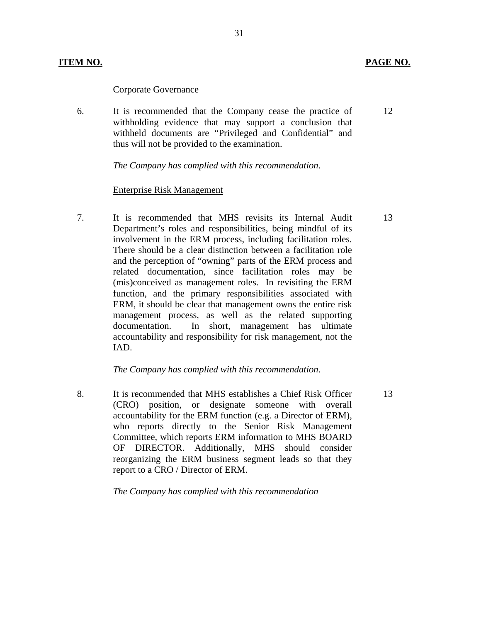## Corporate Governance

6. It is recommended that the Company cease the practice of withholding evidence that may support a conclusion that withheld documents are "Privileged and Confidential" and thus will not be provided to the examination.

31

*The Company has complied with this recommendation*.

## Enterprise Risk Management

7. It is recommended that MHS revisits its Internal Audit Department's roles and responsibilities, being mindful of its involvement in the ERM process, including facilitation roles. There should be a clear distinction between a facilitation role and the perception of "owning" parts of the ERM process and related documentation, since facilitation roles may be (mis)conceived as management roles. In revisiting the ERM function, and the primary responsibilities associated with ERM, it should be clear that management owns the entire risk management process, as well as the related supporting documentation. In short, management has ultimate accountability and responsibility for risk management, not the IAD.

### *The Company has complied with this recommendation*.

8. It is recommended that MHS establishes a Chief Risk Officer (CRO) position, or designate someone with overall accountability for the ERM function (e.g. a Director of ERM), who reports directly to the Senior Risk Management Committee, which reports ERM information to MHS BOARD OF DIRECTOR. Additionally, MHS should consider reorganizing the ERM business segment leads so that they report to a CRO / Director of ERM.

*The Company has complied with this recommendation* 

13

13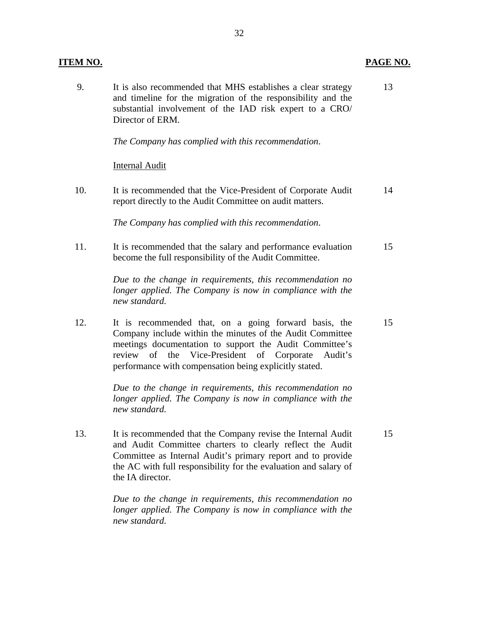| <u>ITEM NO.</u> |                                                                                                                                                                                                                                                                                                    | PAGE NO. |
|-----------------|----------------------------------------------------------------------------------------------------------------------------------------------------------------------------------------------------------------------------------------------------------------------------------------------------|----------|
| 9.              | It is also recommended that MHS establishes a clear strategy<br>and timeline for the migration of the responsibility and the<br>substantial involvement of the IAD risk expert to a CRO/<br>Director of ERM.                                                                                       | 13       |
|                 | The Company has complied with this recommendation.                                                                                                                                                                                                                                                 |          |
|                 | <b>Internal Audit</b>                                                                                                                                                                                                                                                                              |          |
| 10.             | It is recommended that the Vice-President of Corporate Audit<br>report directly to the Audit Committee on audit matters.                                                                                                                                                                           | 14       |
|                 | The Company has complied with this recommendation.                                                                                                                                                                                                                                                 |          |
| 11.             | It is recommended that the salary and performance evaluation<br>become the full responsibility of the Audit Committee.                                                                                                                                                                             | 15       |
|                 | Due to the change in requirements, this recommendation no<br>longer applied. The Company is now in compliance with the<br>new standard.                                                                                                                                                            |          |
| 12.             | It is recommended that, on a going forward basis, the<br>Company include within the minutes of the Audit Committee<br>meetings documentation to support the Audit Committee's<br>Vice-President of Corporate<br>review of the<br>Audit's<br>performance with compensation being explicitly stated. | 15       |
|                 | Due to the change in requirements, this recommendation no<br>longer applied. The Company is now in compliance with the<br>new standard.                                                                                                                                                            |          |
| 13.             | It is recommended that the Company revise the Internal Audit<br>and Audit Committee charters to clearly reflect the Audit<br>Committee as Internal Audit's primary report and to provide<br>the AC with full responsibility for the evaluation and salary of<br>the IA director.                   | 15       |
|                 | Due to the change in requirements, this recommendation no<br>longer applied. The Company is now in compliance with the<br>new standard.                                                                                                                                                            |          |

32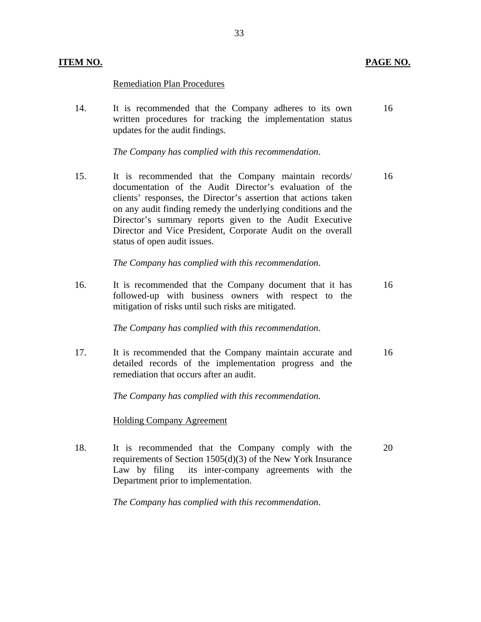## **ITEM NO. PAGE NO. PAGE NO.**

## Remediation Plan Procedures

14. It is recommended that the Company adheres to its own 16 written procedures for tracking the implementation status updates for the audit findings.

*The Company has complied with this recommendation*.

15. It is recommended that the Company maintain records/ 16 documentation of the Audit Director's evaluation of the clients' responses, the Director's assertion that actions taken on any audit finding remedy the underlying conditions and the Director's summary reports given to the Audit Executive Director and Vice President, Corporate Audit on the overall status of open audit issues.

*The Company has complied with this recommendation*.

16. It is recommended that the Company document that it has 16 followed-up with business owners with respect to the mitigation of risks until such risks are mitigated.

*The Company has complied with this recommendation*.

17. It is recommended that the Company maintain accurate and 16 detailed records of the implementation progress and the remediation that occurs after an audit.

*The Company has complied with this recommendation.* 

## Holding Company Agreement

18. It is recommended that the Company comply with the 20 requirements of Section 1505(d)(3) of the New York Insurance Law by filing its inter-company agreements with the Department prior to implementation.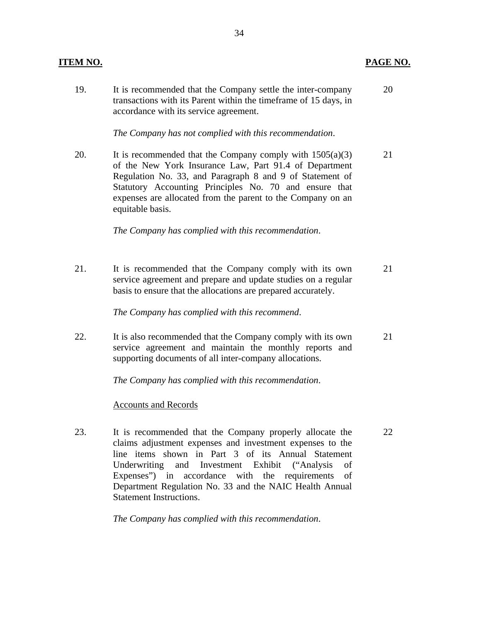## **ITEM NO. PAGE NO. PAGE NO.**

19. It is recommended that the Company settle the inter-company 20 transactions with its Parent within the timeframe of 15 days, in accordance with its service agreement.

*The Company has not complied with this recommendation*.

20. It is recommended that the Company comply with  $1505(a)(3)$  21 of the New York Insurance Law, Part 91.4 of Department Regulation No. 33, and Paragraph 8 and 9 of Statement of Statutory Accounting Principles No. 70 and ensure that expenses are allocated from the parent to the Company on an equitable basis.

*The Company has complied with this recommendation*.

21. It is recommended that the Company comply with its own 21 service agreement and prepare and update studies on a regular basis to ensure that the allocations are prepared accurately.

*The Company has complied with this recommend*.

22. It is also recommended that the Company comply with its own 21 service agreement and maintain the monthly reports and supporting documents of all inter-company allocations.

*The Company has complied with this recommendation*.

## Accounts and Records

23. It is recommended that the Company properly allocate the 22 claims adjustment expenses and investment expenses to the line items shown in Part 3 of its Annual Statement Underwriting and Investment Exhibit ("Analysis of Expenses") in accordance with the requirements of Department Regulation No. 33 and the NAIC Health Annual Statement Instructions.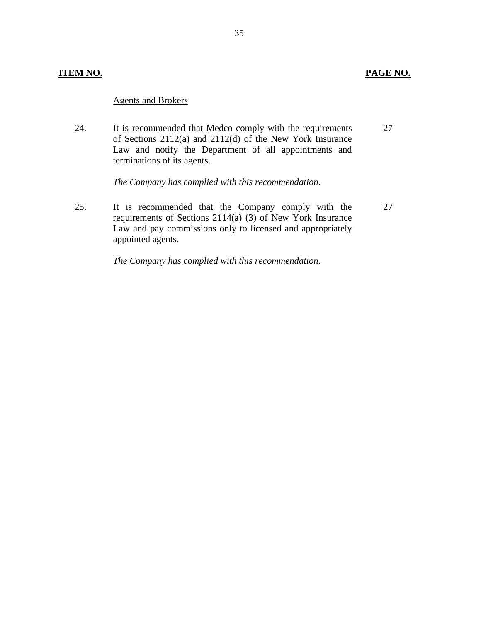## **ITEM NO. PAGE NO.**

## Agents and Brokers

24. It is recommended that Medco comply with the requirements 27 of Sections 2112(a) and 2112(d) of the New York Insurance Law and notify the Department of all appointments and terminations of its agents.

*The Company has complied with this recommendation*.

25. It is recommended that the Company comply with the 27 requirements of Sections 2114(a) (3) of New York Insurance Law and pay commissions only to licensed and appropriately appointed agents.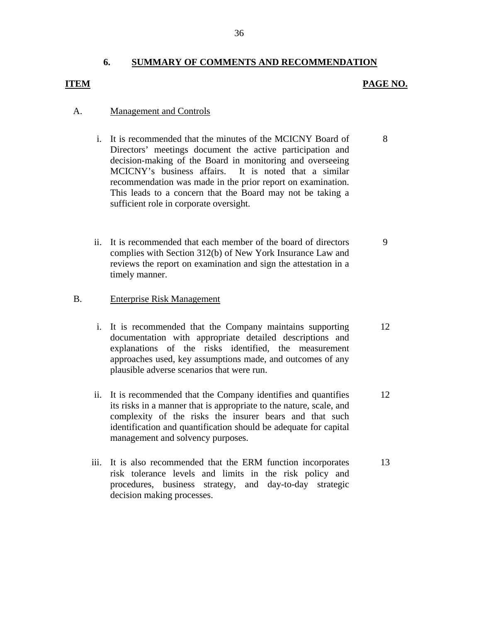## **6. SUMMARY OF COMMENTS AND RECOMMENDATION**

## **ITEM PAGE NO.**

9

## A. Management and Controls

- i. It is recommended that the minutes of the MCICNY Board of Directors' meetings document the active participation and decision-making of the Board in monitoring and overseeing MCICNY's business affairs. It is noted that a similar recommendation was made in the prior report on examination. This leads to a concern that the Board may not be taking a sufficient role in corporate oversight. 8
- ii. It is recommended that each member of the board of directors complies with Section 312(b) of New York Insurance Law and reviews the report on examination and sign the attestation in a timely manner.

## B. Enterprise Risk Management

- i. It is recommended that the Company maintains supporting documentation with appropriate detailed descriptions and explanations of the risks identified, the measurement approaches used, key assumptions made, and outcomes of any plausible adverse scenarios that were run. 12
- ii. It is recommended that the Company identifies and quantifies its risks in a manner that is appropriate to the nature, scale, and complexity of the risks the insurer bears and that such identification and quantification should be adequate for capital management and solvency purposes. 12
- iii. It is also recommended that the ERM function incorporates risk tolerance levels and limits in the risk policy and procedures, business strategy, and day-to-day strategic decision making processes. 13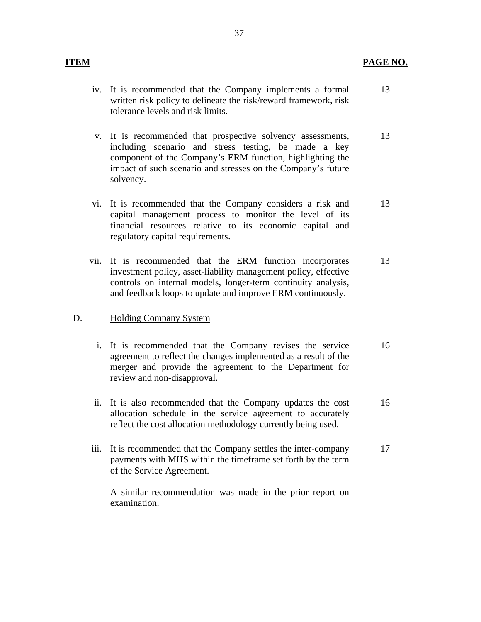- iv. It is recommended that the Company implements a formal written risk policy to delineate the risk/reward framework, risk tolerance levels and risk limits. 13
- v. It is recommended that prospective solvency assessments, including scenario and stress testing, be made a key component of the Company's ERM function, highlighting the impact of such scenario and stresses on the Company's future solvency. 13
- vi. It is recommended that the Company considers a risk and capital management process to monitor the level of its financial resources relative to its economic capital and regulatory capital requirements. 13
- vii. It is recommended that the ERM function incorporates investment policy, asset-liability management policy, effective controls on internal models, longer-term continuity analysis, and feedback loops to update and improve ERM continuously. 13

## D. Holding Company System

- i. It is recommended that the Company revises the service agreement to reflect the changes implemented as a result of the merger and provide the agreement to the Department for review and non-disapproval. 16
- ii. It is also recommended that the Company updates the cost allocation schedule in the service agreement to accurately reflect the cost allocation methodology currently being used. 16
- iii. It is recommended that the Company settles the inter-company payments with MHS within the timeframe set forth by the term of the Service Agreement. 17

A similar recommendation was made in the prior report on examination.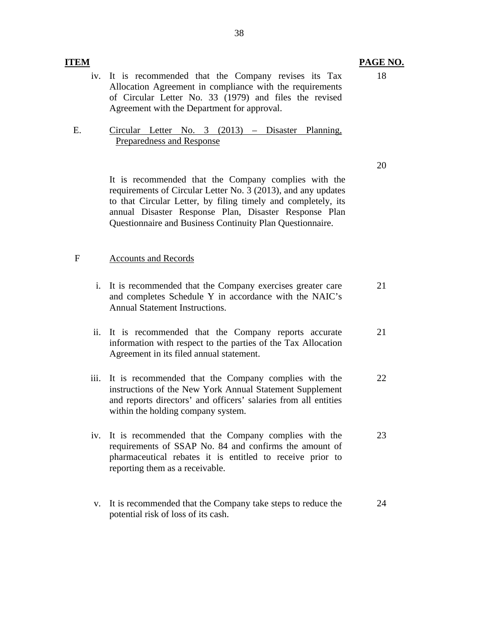- iv. It is recommended that the Company revises its Tax Allocation Agreement in compliance with the requirements of Circular Letter No. 33 (1979) and files the revised Agreement with the Department for approval.
- E. Circular Letter No. 3 (2013) Disaster Planning, Preparedness and Response

It is recommended that the Company complies with the requirements of Circular Letter No. 3 (2013), and any updates to that Circular Letter, by filing timely and completely, its annual Disaster Response Plan, Disaster Response Plan Questionnaire and Business Continuity Plan Questionnaire.

## F Accounts and Records

- i. It is recommended that the Company exercises greater care and completes Schedule Y in accordance with the NAIC's Annual Statement Instructions. 21
- ii. It is recommended that the Company reports accurate information with respect to the parties of the Tax Allocation Agreement in its filed annual statement. 21
- iii. It is recommended that the Company complies with the instructions of the New York Annual Statement Supplement and reports directors' and officers' salaries from all entities within the holding company system. 22
- iv. It is recommended that the Company complies with the requirements of SSAP No. 84 and confirms the amount of pharmaceutical rebates it is entitled to receive prior to reporting them as a receivable. 23
- v. It is recommended that the Company take steps to reduce the potential risk of loss of its cash. 24

20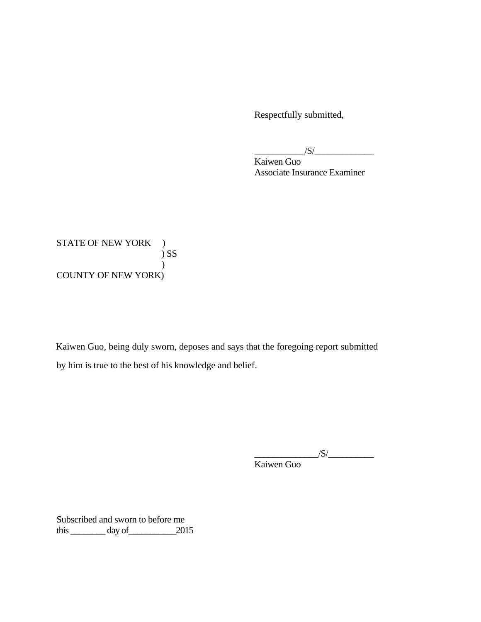Respectfully submitted,

 $\frac{|S|}{|S|}$ 

Kaiwen Guo Associate Insurance Examiner

STATE OF NEW YORK ) ) SS  $\mathcal{L}$ COUNTY OF NEW YORK)

Kaiwen Guo, being duly sworn, deposes and says that the foregoing report submitted by him is true to the best of his knowledge and belief.

> $\sqrt{S}/$ Kaiwen Guo

Subscribed and sworn to before me this  $\_\_\_\_\_\$  day of  $\_\_\_\_\_2$